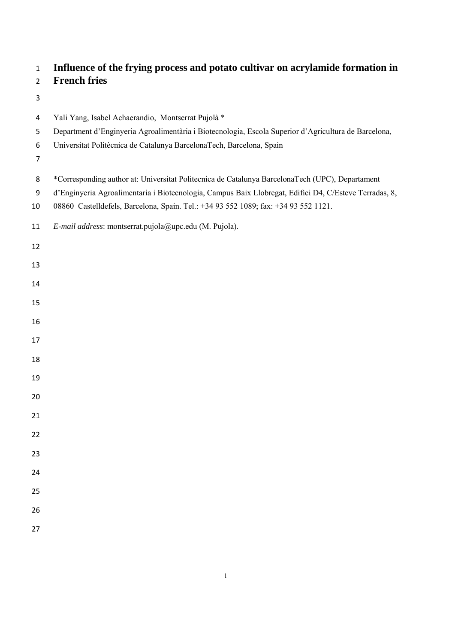# **Influence of the frying process and potato cultivar on acrylamide formation in**

# **French fries**

- 
- Yali Yang, Isabel Achaerandio, Montserrat Pujolà \*
- Department d'Enginyeria Agroalimentària i Biotecnologia, Escola Superior d'Agricultura de Barcelona,
- Universitat Politècnica de Catalunya BarcelonaTech, Barcelona, Spain
- 
- \*Corresponding author at: Universitat Politecnica de Catalunya BarcelonaTech (UPC), Departament
- d'Enginyeria Agroalimentaria i Biotecnologia, Campus Baix Llobregat, Edifici D4, C/Esteve Terradas, 8,
- 08860 Castelldefels, Barcelona, Spain. Tel.: +34 93 552 1089; fax: +34 93 552 1121.
- *E-mail address*: montserrat.pujola@upc.edu (M. Pujola).
- 
- 
- 
- 
- 
- 
- 
- 
- 
- 
- 
- 
- 
- 
- 
- 
- 
-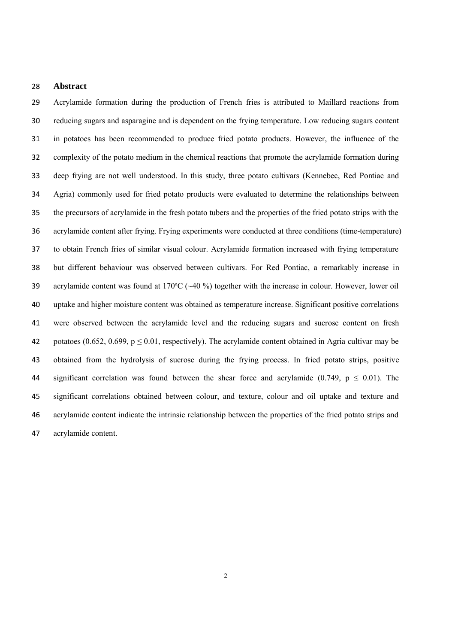## **Abstract**

 Acrylamide formation during the production of French fries is attributed to Maillard reactions from reducing sugars and asparagine and is dependent on the frying temperature. Low reducing sugars content in potatoes has been recommended to produce fried potato products. However, the influence of the complexity of the potato medium in the chemical reactions that promote the acrylamide formation during deep frying are not well understood. In this study, three potato cultivars (Kennebec, Red Pontiac and Agria) commonly used for fried potato products were evaluated to determine the relationships between the precursors of acrylamide in the fresh potato tubers and the properties of the fried potato strips with the acrylamide content after frying. Frying experiments were conducted at three conditions (time-temperature) to obtain French fries of similar visual colour. Acrylamide formation increased with frying temperature but different behaviour was observed between cultivars. For Red Pontiac, a remarkably increase in acrylamide content was found at 170ºC (~40 %) together with the increase in colour. However, lower oil uptake and higher moisture content was obtained as temperature increase. Significant positive correlations were observed between the acrylamide level and the reducing sugars and sucrose content on fresh 42 potatoes (0.652, 0.699,  $p \le 0.01$ , respectively). The acrylamide content obtained in Agria cultivar may be obtained from the hydrolysis of sucrose during the frying process. In fried potato strips, positive 44 significant correlation was found between the shear force and acrylamide (0.749,  $p \le 0.01$ ). The significant correlations obtained between colour, and texture, colour and oil uptake and texture and acrylamide content indicate the intrinsic relationship between the properties of the fried potato strips and acrylamide content.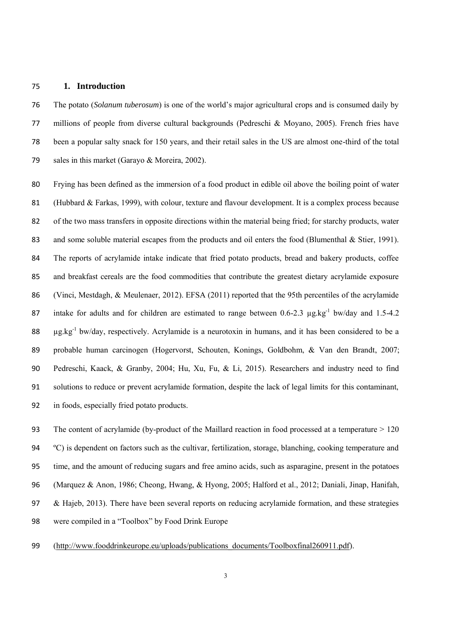### **1. Introduction**

 The potato (*Solanum tuberosum*) is one of the world's major agricultural crops and is consumed daily by millions of people from diverse cultural backgrounds (Pedreschi & Moyano, 2005). French fries have been a popular salty snack for 150 years, and their retail sales in the US are almost one-third of the total 79 sales in this market (Garayo & Moreira, 2002).

 Frying has been defined as the immersion of a food product in edible oil above the boiling point of water (Hubbard & Farkas, 1999), with colour, texture and flavour development. It is a complex process because 82 of the two mass transfers in opposite directions within the material being fried; for starchy products, water 83 and some soluble material escapes from the products and oil enters the food (Blumenthal & Stier, 1991). The reports of acrylamide intake indicate that fried potato products, bread and bakery products, coffee and breakfast cereals are the food commodities that contribute the greatest dietary acrylamide exposure (Vinci, Mestdagh, & Meulenaer, 2012). EFSA (2011) reported that the 95th percentiles of the acrylamide 87 intake for adults and for children are estimated to range between 0.6-2.3  $\mu$ g.kg<sup>-1</sup> bw/day and 1.5-4.2  $\mu$ g.kg<sup>-1</sup> bw/day, respectively. Acrylamide is a neurotoxin in humans, and it has been considered to be a probable human carcinogen (Hogervorst, Schouten, Konings, Goldbohm, & Van den Brandt, 2007; Pedreschi, Kaack, & Granby, 2004; Hu, Xu, Fu, & Li, 2015). Researchers and industry need to find solutions to reduce or prevent acrylamide formation, despite the lack of legal limits for this contaminant, in foods, especially fried potato products.

 The content of acrylamide (by-product of the Maillard reaction in food processed at a temperature > 120 ºC) is dependent on factors such as the cultivar, fertilization, storage, blanching, cooking temperature and time, and the amount of reducing sugars and free amino acids, such as asparagine, present in the potatoes (Marquez & Anon, 1986; Cheong, Hwang, & Hyong, 2005; Halford et al., 2012; Daniali, Jinap, Hanifah, & Hajeb, 2013). There have been several reports on reducing acrylamide formation, and these strategies were compiled in a "Toolbox" by Food Drink Europe

99 (http://www.fooddrinkeurope.eu/uploads/publications\_documents/Toolboxfinal260911.pdf).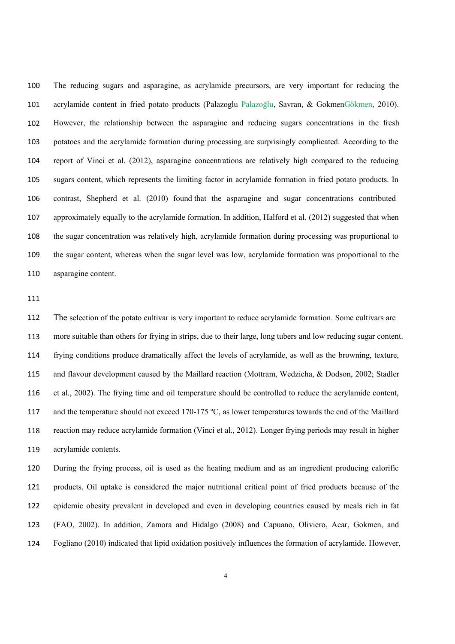The reducing sugars and asparagine, as acrylamide precursors, are very important for reducing the acrylamide content in fried potato products (Palazoglu Palazoğlu, Savran, & GokmenGökmen, 2010). However, the relationship between the asparagine and reducing sugars concentrations in the fresh potatoes and the acrylamide formation during processing are surprisingly complicated. According to the report of Vinci et al. (2012), asparagine concentrations are relatively high compared to the reducing sugars content, which represents the limiting factor in acrylamide formation in fried potato products. In contrast, Shepherd et al. (2010) found that the asparagine and sugar concentrations contributed approximately equally to the acrylamide formation. In addition, Halford et al. (2012) suggested that when the sugar concentration was relatively high, acrylamide formation during processing was proportional to the sugar content, whereas when the sugar level was low, acrylamide formation was proportional to the asparagine content.

 The selection of the potato cultivar is very important to reduce acrylamide formation. Some cultivars are more suitable than others for frying in strips, due to their large, long tubers and low reducing sugar content. frying conditions produce dramatically affect the levels of acrylamide, as well as the browning, texture, and flavour development caused by the Maillard reaction (Mottram, Wedzicha, & Dodson, 2002; Stadler et al., 2002). The frying time and oil temperature should be controlled to reduce the acrylamide content, and the temperature should not exceed 170-175 ºC, as lower temperatures towards the end of the Maillard reaction may reduce acrylamide formation (Vinci et al., 2012). Longer frying periods may result in higher acrylamide contents.

 During the frying process, oil is used as the heating medium and as an ingredient producing calorific products. Oil uptake is considered the major nutritional critical point of fried products because of the epidemic obesity prevalent in developed and even in developing countries caused by meals rich in fat (FAO, 2002). In addition, Zamora and Hidalgo (2008) and Capuano, Oliviero, Acar, Gokmen, and Fogliano (2010) indicated that lipid oxidation positively influences the formation of acrylamide. However,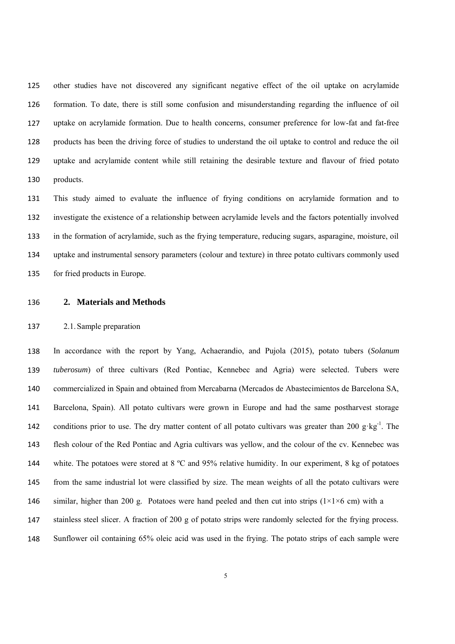other studies have not discovered any significant negative effect of the oil uptake on acrylamide formation. To date, there is still some confusion and misunderstanding regarding the influence of oil uptake on acrylamide formation. Due to health concerns, consumer preference for low-fat and fat-free products has been the driving force of studies to understand the oil uptake to control and reduce the oil uptake and acrylamide content while still retaining the desirable texture and flavour of fried potato products.

 This study aimed to evaluate the influence of frying conditions on acrylamide formation and to investigate the existence of a relationship between acrylamide levels and the factors potentially involved in the formation of acrylamide, such as the frying temperature, reducing sugars, asparagine, moisture, oil uptake and instrumental sensory parameters (colour and texture) in three potato cultivars commonly used for fried products in Europe.

**2. Materials and Methods**

## 2.1.Sample preparation

 In accordance with the report by Yang, Achaerandio, and Pujola (2015), potato tubers (*Solanum tuberosum*) of three cultivars (Red Pontiac, Kennebec and Agria) were selected. Tubers were commercialized in Spain and obtained from Mercabarna (Mercados de Abastecimientos de Barcelona SA, Barcelona, Spain). All potato cultivars were grown in Europe and had the same postharvest storage conditions prior to use. The dry matter content of all potato cultivars was greater than 200 g·kg<sup>-1</sup>. The flesh colour of the Red Pontiac and Agria cultivars was yellow, and the colour of the cv. Kennebec was white. The potatoes were stored at 8 ºC and 95% relative humidity. In our experiment, 8 kg of potatoes from the same industrial lot were classified by size. The mean weights of all the potato cultivars were 146 similar, higher than 200 g. Potatoes were hand peeled and then cut into strips ( $1\times1\times6$  cm) with a stainless steel slicer. A fraction of 200 g of potato strips were randomly selected for the frying process. Sunflower oil containing 65% oleic acid was used in the frying. The potato strips of each sample were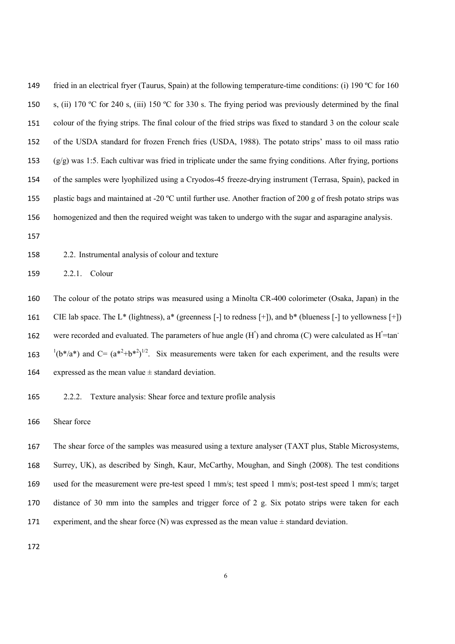149 fried in an electrical fryer (Taurus, Spain) at the following temperature-time conditions: (i) 190 °C for 160 s, (ii) 170 ºC for 240 s, (iii) 150 ºC for 330 s. The frying period was previously determined by the final colour of the frying strips. The final colour of the fried strips was fixed to standard 3 on the colour scale of the USDA standard for frozen French fries (USDA, 1988). The potato strips' mass to oil mass ratio (g/g) was 1:5. Each cultivar was fried in triplicate under the same frying conditions. After frying, portions of the samples were lyophilized using a Cryodos-45 freeze-drying instrument (Terrasa, Spain), packed in plastic bags and maintained at -20 ºC until further use. Another fraction of 200 g of fresh potato strips was homogenized and then the required weight was taken to undergo with the sugar and asparagine analysis.

2.2. Instrumental analysis of colour and texture

2.2.1. Colour

 The colour of the potato strips was measured using a Minolta CR-400 colorimeter (Osaka, Japan) in the CIE lab space. The L<sup>\*</sup> (lightness),  $a^*$  (greenness [-] to redness [+]), and  $b^*$  (blueness [-] to yellowness [+]) were recorded and evaluated. The parameters of hue angle  $(H^{\circ})$  and chroma (C) were calculated as  $H^{\circ}$ =tan  $(16*(a^*)$  and C=  $(a^{*2}+b^{*2})^{1/2}$ . Six measurements were taken for each experiment, and the results were 164 expressed as the mean value  $\pm$  standard deviation.

2.2.2. Texture analysis: Shear force and texture profile analysis

Shear force

 The shear force of the samples was measured using a texture analyser (TAXT plus, Stable Microsystems, Surrey, UK), as described by Singh, Kaur, McCarthy, Moughan, and Singh (2008). The test conditions used for the measurement were pre-test speed 1 mm/s; test speed 1 mm/s; post-test speed 1 mm/s; target distance of 30 mm into the samples and trigger force of 2 g. Six potato strips were taken for each experiment, and the shear force  $(N)$  was expressed as the mean value  $\pm$  standard deviation.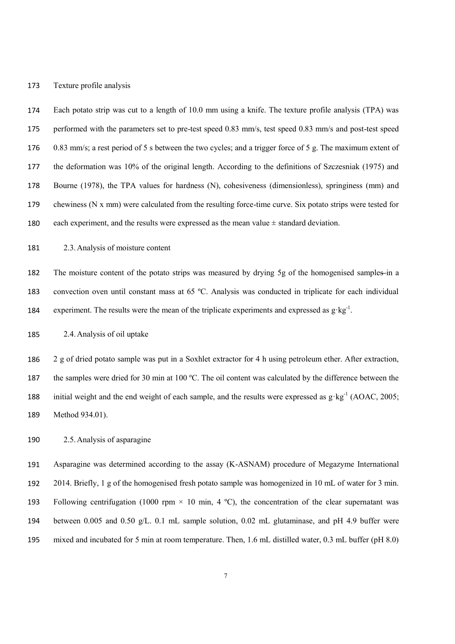### Texture profile analysis

 Each potato strip was cut to a length of 10.0 mm using a knife. The texture profile analysis (TPA) was performed with the parameters set to pre-test speed 0.83 mm/s, test speed 0.83 mm/s and post-test speed 0.83 mm/s; a rest period of 5 s between the two cycles; and a trigger force of 5 g. The maximum extent of the deformation was 10% of the original length. According to the definitions of Szczesniak (1975) and Bourne (1978), the TPA values for hardness (N), cohesiveness (dimensionless), springiness (mm) and chewiness (N x mm) were calculated from the resulting force-time curve. Six potato strips were tested for 180 each experiment, and the results were expressed as the mean value  $\pm$  standard deviation.

2.3.Analysis of moisture content

 The moisture content of the potato strips was measured by drying 5g of the homogenised samples in a convection oven until constant mass at 65 ºC. Analysis was conducted in triplicate for each individual experiment. The results were the mean of the triplicate experiments and expressed as  $g \cdot kg^{-1}$ .

2.4.Analysis of oil uptake

 2 g of dried potato sample was put in a Soxhlet extractor for 4 h using petroleum ether. After extraction, the samples were dried for 30 min at 100 ºC. The oil content was calculated by the difference between the initial weight and the end weight of each sample, and the results were expressed as  $g \cdot kg^{-1}$  (AOAC, 2005; Method 934.01).

2.5.Analysis of asparagine

 Asparagine was determined according to the assay (K-ASNAM) procedure of Megazyme International 2014. Briefly, 1 g of the homogenised fresh potato sample was homogenized in 10 mL of water for 3 min. 193 Following centrifugation (1000 rpm  $\times$  10 min, 4 °C), the concentration of the clear supernatant was between 0.005 and 0.50 g/L. 0.1 mL sample solution, 0.02 mL glutaminase, and pH 4.9 buffer were mixed and incubated for 5 min at room temperature. Then, 1.6 mL distilled water, 0.3 mL buffer (pH 8.0)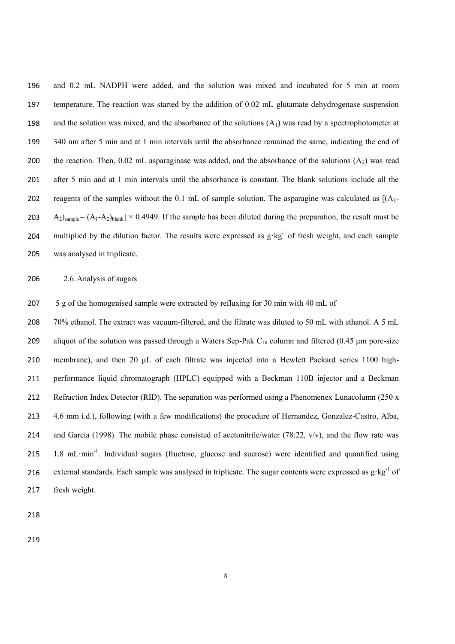and 0.2 mL NADPH were added, and the solution was mixed and incubated for 5 min at room temperature. The reaction was started by the addition of 0.02 mL glutamate dehydrogenase suspension 198 and the solution was mixed, and the absorbance of the solutions  $(A_1)$  was read by a spectrophotometer at 340 nm after 5 min and at 1 min intervals until the absorbance remained the same, indicating the end of 200 the reaction. Then,  $0.02$  mL asparaginase was added, and the absorbance of the solutions  $(A<sub>2</sub>)$  was read after 5 min and at 1 min intervals until the absorbance is constant. The blank solutions include all the 202 reagents of the samples without the 0.1 mL of sample solution. The asparagine was calculated as  $[(A_1 - B_2)(A_2 - B_1)(A_3 - B_2)]$   $A_2$ )<sub>sample</sub> –  $(A_1-A_2)$ <sub>blank</sub>] × 0.4949. If the sample has been diluted during the preparation, the result must be multiplied by the dilution factor. The results were expressed as  $g \cdot kg^{-1}$  of fresh weight, and each sample was analysed in triplicate.

2.6.Analysis of sugars

5 g of the homogenised sample were extracted by refluxing for 30 min with 40 mL of

 70% ethanol. The extract was vacuum-filtered, and the filtrate was diluted to 50 mL with ethanol. A 5 mL 209 aliquot of the solution was passed through a Waters Sep-Pak  $C_{18}$  column and filtered (0.45 µm pore-size 210 membrane), and then 20 µL of each filtrate was injected into a Hewlett Packard series 1100 high- performance liquid chromatograph (HPLC) equipped with a Beckman 110B injector and a Beckman 212 Refraction Index Detector (RID). The separation was performed using a Phenomenex Lunacolumn (250 x 4.6 mm i.d.), following (with a few modifications) the procedure of Hernandez, Gonzalez-Castro, Alba, and Garcia (1998). The mobile phase consisted of acetonitrile/water (78:22,  $v/v$ ), and the flow rate was 1.8 mL·min-1. Individual sugars (fructose, glucose and sucrose) were identified and quantified using external standards. Each sample was analysed in triplicate. The sugar contents were expressed as g·kg<sup>-1</sup> of fresh weight.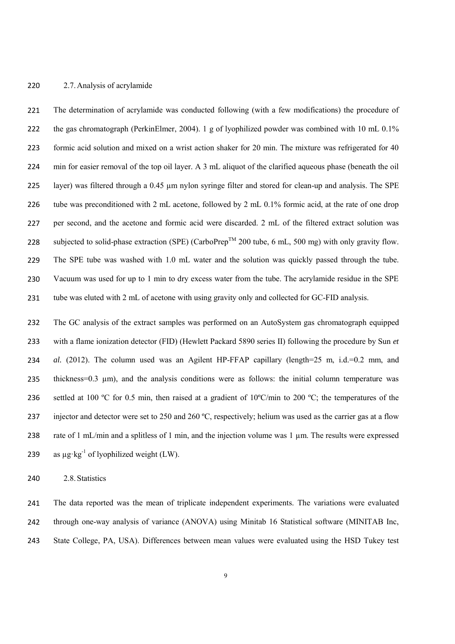### 2.7.Analysis of acrylamide

 The determination of acrylamide was conducted following (with a few modifications) the procedure of the gas chromatograph (PerkinElmer, 2004). 1 g of lyophilized powder was combined with 10 mL 0.1% formic acid solution and mixed on a wrist action shaker for 20 min. The mixture was refrigerated for 40 min for easier removal of the top oil layer. A 3 mL aliquot of the clarified aqueous phase (beneath the oil layer) was filtered through a 0.45 µm nylon syringe filter and stored for clean-up and analysis. The SPE tube was preconditioned with 2 mL acetone, followed by 2 mL 0.1% formic acid, at the rate of one drop per second, and the acetone and formic acid were discarded. 2 mL of the filtered extract solution was subjected to solid-phase extraction (SPE) (CarboPrep<sup>TM</sup> 200 tube, 6 mL, 500 mg) with only gravity flow. The SPE tube was washed with 1.0 mL water and the solution was quickly passed through the tube. Vacuum was used for up to 1 min to dry excess water from the tube. The acrylamide residue in the SPE tube was eluted with 2 mL of acetone with using gravity only and collected for GC-FID analysis.

 The GC analysis of the extract samples was performed on an AutoSystem gas chromatograph equipped with a flame ionization detector (FID) (Hewlett Packard 5890 series II) following the procedure by Sun *et al.* (2012). The column used was an Agilent HP-FFAP capillary (length=25 m, i.d.=0.2 mm, and 235 thickness=0.3 µm), and the analysis conditions were as follows: the initial column temperature was 236 settled at 100 °C for 0.5 min, then raised at a gradient of 10°C/min to 200 °C; the temperatures of the 237 injector and detector were set to 250 and 260 °C, respectively; helium was used as the carrier gas at a flow rate of 1 mL/min and a splitless of 1 min, and the injection volume was 1 µm. The results were expressed as  $\mu$ g·kg<sup>-1</sup> of lyophilized weight (LW).

2.8.Statistics

 The data reported was the mean of triplicate independent experiments. The variations were evaluated through one-way analysis of variance (ANOVA) using Minitab 16 Statistical software (MINITAB Inc, State College, PA, USA). Differences between mean values were evaluated using the HSD Tukey test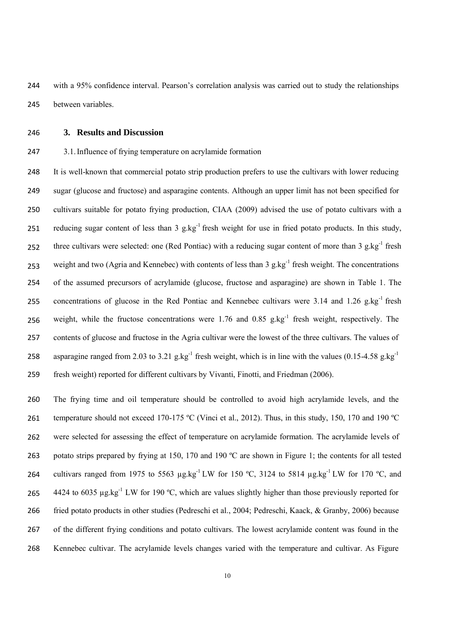with a 95% confidence interval. Pearson's correlation analysis was carried out to study the relationships between variables.

# **3. Results and Discussion**

# 3.1.Influence of frying temperature on acrylamide formation

 It is well-known that commercial potato strip production prefers to use the cultivars with lower reducing sugar (glucose and fructose) and asparagine contents. Although an upper limit has not been specified for cultivars suitable for potato frying production, CIAA (2009) advised the use of potato cultivars with a reducing sugar content of less than 3 g.kg<sup>-1</sup> fresh weight for use in fried potato products. In this study, three cultivars were selected: one (Red Pontiac) with a reducing sugar content of more than  $3 \text{ g} \cdot \text{kg}^{-1}$  fresh weight and two (Agria and Kennebec) with contents of less than 3 g.kg<sup>-1</sup> fresh weight. The concentrations of the assumed precursors of acrylamide (glucose, fructose and asparagine) are shown in Table 1. The concentrations of glucose in the Red Pontiac and Kennebec cultivars were  $3.14$  and  $1.26$  g.kg<sup>-1</sup> fresh weight, while the fructose concentrations were 1.76 and 0.85 g.kg<sup>-1</sup> fresh weight, respectively. The contents of glucose and fructose in the Agria cultivar were the lowest of the three cultivars. The values of asparagine ranged from 2.03 to 3.21 g.kg<sup>-1</sup> fresh weight, which is in line with the values (0.15-4.58 g.kg<sup>-1</sup>) fresh weight) reported for different cultivars by Vivanti, Finotti, and Friedman (2006).

 The frying time and oil temperature should be controlled to avoid high acrylamide levels, and the 261 temperature should not exceed 170-175 °C (Vinci et al., 2012). Thus, in this study, 150, 170 and 190 °C were selected for assessing the effect of temperature on acrylamide formation. The acrylamide levels of potato strips prepared by frying at 150, 170 and 190 ºC are shown in Figure 1; the contents for all tested cultivars ranged from 1975 to 5563  $\mu$ g.kg<sup>-1</sup> LW for 150 °C, 3124 to 5814  $\mu$ g.kg<sup>-1</sup> LW for 170 °C, and 4424 to 6035  $\mu$ g.kg<sup>-1</sup> LW for 190 °C, which are values slightly higher than those previously reported for fried potato products in other studies (Pedreschi et al., 2004; Pedreschi, Kaack, & Granby, 2006) because of the different frying conditions and potato cultivars. The lowest acrylamide content was found in the Kennebec cultivar. The acrylamide levels changes varied with the temperature and cultivar. As Figure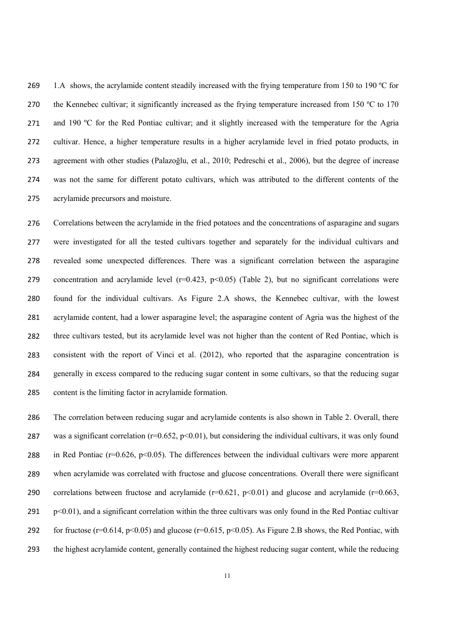269 1.A shows, the acrylamide content steadily increased with the frying temperature from 150 to 190 °C for 270 the Kennebec cultivar; it significantly increased as the frying temperature increased from 150 °C to 170 271 and 190 °C for the Red Pontiac cultivar; and it slightly increased with the temperature for the Agria cultivar. Hence, a higher temperature results in a higher acrylamide level in fried potato products, in agreement with other studies (Palazoğlu, et al., 2010; Pedreschi et al., 2006), but the degree of increase was not the same for different potato cultivars, which was attributed to the different contents of the acrylamide precursors and moisture.

 Correlations between the acrylamide in the fried potatoes and the concentrations of asparagine and sugars were investigated for all the tested cultivars together and separately for the individual cultivars and revealed some unexpected differences. There was a significant correlation between the asparagine 279 concentration and acrylamide level  $(r=0.423, p<0.05)$  (Table 2), but no significant correlations were found for the individual cultivars. As Figure 2.A shows, the Kennebec cultivar, with the lowest acrylamide content, had a lower asparagine level; the asparagine content of Agria was the highest of the three cultivars tested, but its acrylamide level was not higher than the content of Red Pontiac, which is consistent with the report of Vinci et al. (2012), who reported that the asparagine concentration is generally in excess compared to the reducing sugar content in some cultivars, so that the reducing sugar content is the limiting factor in acrylamide formation.

 The correlation between reducing sugar and acrylamide contents is also shown in Table 2. Overall, there 287 was a significant correlation ( $r=0.652$ ,  $p<0.01$ ), but considering the individual cultivars, it was only found 288 in Red Pontiac ( $r=0.626$ ,  $p<0.05$ ). The differences between the individual cultivars were more apparent when acrylamide was correlated with fructose and glucose concentrations. Overall there were significant 290 correlations between fructose and acrylamide  $(r=0.621, p<0.01)$  and glucose and acrylamide  $(r=0.663, p<0.01)$  p<0.01), and a significant correlation within the three cultivars was only found in the Red Pontiac cultivar 292 for fructose ( $r=0.614$ ,  $p<0.05$ ) and glucose ( $r=0.615$ ,  $p<0.05$ ). As Figure 2.B shows, the Red Pontiac, with the highest acrylamide content, generally contained the highest reducing sugar content, while the reducing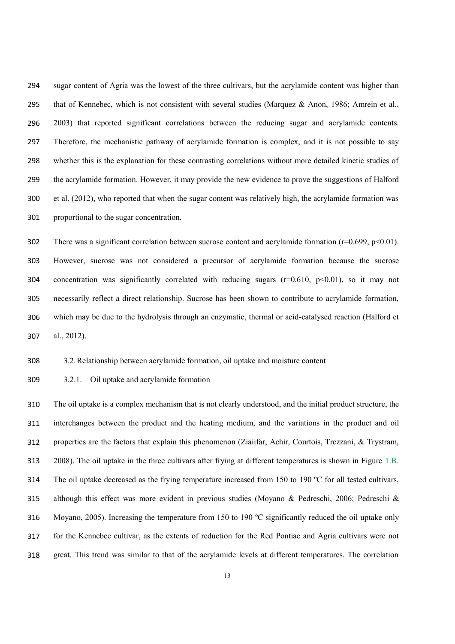sugar content of Agria was the lowest of the three cultivars, but the acrylamide content was higher than 295 that of Kennebec, which is not consistent with several studies (Marquez & Anon, 1986; Amrein et al., 2003) that reported significant correlations between the reducing sugar and acrylamide contents. Therefore, the mechanistic pathway of acrylamide formation is complex, and it is not possible to say whether this is the explanation for these contrasting correlations without more detailed kinetic studies of the acrylamide formation. However, it may provide the new evidence to prove the suggestions of Halford et al. (2012), who reported that when the sugar content was relatively high, the acrylamide formation was proportional to the sugar concentration.

302 There was a significant correlation between sucrose content and acrylamide formation (r=0.699, p<0.01). However, sucrose was not considered a precursor of acrylamide formation because the sucrose 304 concentration was significantly correlated with reducing sugars ( $r=0.610$ ,  $p<0.01$ ), so it may not necessarily reflect a direct relationship. Sucrose has been shown to contribute to acrylamide formation, which may be due to the hydrolysis through an enzymatic, thermal or acid-catalysed reaction (Halford et al., 2012).

3.2.Relationship between acrylamide formation, oil uptake and moisture content

3.2.1. Oil uptake and acrylamide formation

 The oil uptake is a complex mechanism that is not clearly understood, and the initial product structure, the interchanges between the product and the heating medium, and the variations in the product and oil properties are the factors that explain this phenomenon (Ziaiifar, Achir, Courtois, Trezzani, & Trystram, 2008). The oil uptake in the three cultivars after frying at different temperatures is shown in Figure 1.B. The oil uptake decreased as the frying temperature increased from 150 to 190 ºC for all tested cultivars, although this effect was more evident in previous studies (Moyano & Pedreschi, 2006; Pedreschi & Moyano, 2005). Increasing the temperature from 150 to 190 ºC significantly reduced the oil uptake only for the Kennebec cultivar, as the extents of reduction for the Red Pontiac and Agria cultivars were not great. This trend was similar to that of the acrylamide levels at different temperatures. The correlation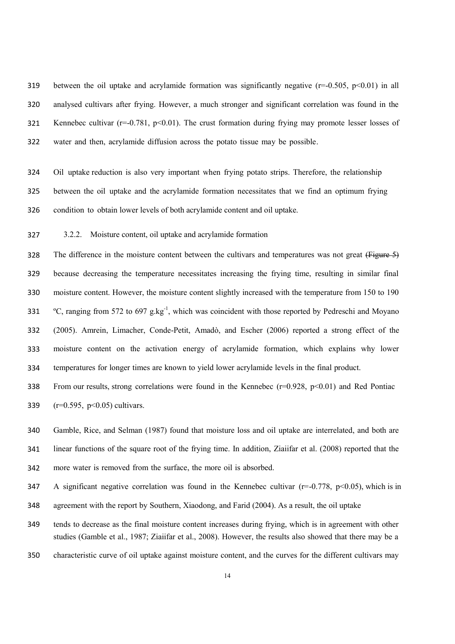319 between the oil uptake and acrylamide formation was significantly negative  $(r=0.505, p<0.01)$  in all analysed cultivars after frying. However, a much stronger and significant correlation was found in the 321 Kennebec cultivar ( $r=0.781$ ,  $p<0.01$ ). The crust formation during frying may promote lesser losses of water and then, acrylamide diffusion across the potato tissue may be possible.

 Oil uptake reduction is also very important when frying potato strips. Therefore, the relationship between the oil uptake and the acrylamide formation necessitates that we find an optimum frying condition to obtain lower levels of both acrylamide content and oil uptake.

3.2.2. Moisture content, oil uptake and acrylamide formation

328 The difference in the moisture content between the cultivars and temperatures was not great (Figure 5) because decreasing the temperature necessitates increasing the frying time, resulting in similar final moisture content. However, the moisture content slightly increased with the temperature from 150 to 190 ºC, ranging from 572 to 697 g.kg-1, which was coincident with those reported by Pedreschi and Moyano (2005). Amrein, Limacher, Conde-Petit, Amadò, and Escher (2006) reported a strong effect of the moisture content on the activation energy of acrylamide formation, which explains why lower temperatures for longer times are known to yield lower acrylamide levels in the final product.

338 From our results, strong correlations were found in the Kennebec  $(r=0.928, p<0.01)$  and Red Pontiac (r=0.595, p<0.05) cultivars.

 Gamble, Rice, and Selman (1987) found that moisture loss and oil uptake are interrelated, and both are linear functions of the square root of the frying time. In addition, Ziaiifar et al. (2008) reported that the more water is removed from the surface, the more oil is absorbed.

347 A significant negative correlation was found in the Kennebec cultivar ( $r=0.778$ ,  $p<0.05$ ), which is in

agreement with the report by Southern, Xiaodong, and Farid (2004). As a result, the oil uptake

 tends to decrease as the final moisture content increases during frying, which is in agreement with other studies (Gamble et al., 1987; Ziaiifar et al., 2008). However, the results also showed that there may be a

characteristic curve of oil uptake against moisture content, and the curves for the different cultivars may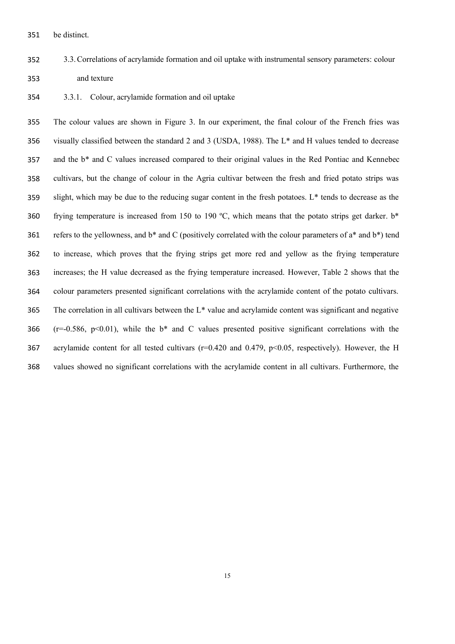be distinct.

- 3.3.Correlations of acrylamide formation and oil uptake with instrumental sensory parameters: colour and texture
- 3.3.1. Colour, acrylamide formation and oil uptake

 The colour values are shown in Figure 3. In our experiment, the final colour of the French fries was visually classified between the standard 2 and 3 (USDA, 1988). The L\* and H values tended to decrease and the b\* and C values increased compared to their original values in the Red Pontiac and Kennebec cultivars, but the change of colour in the Agria cultivar between the fresh and fried potato strips was slight, which may be due to the reducing sugar content in the fresh potatoes. L\* tends to decrease as the frying temperature is increased from 150 to 190 ºC, which means that the potato strips get darker. b\* 361 refers to the yellowness, and  $b^*$  and C (positively correlated with the colour parameters of  $a^*$  and  $b^*$ ) tend to increase, which proves that the frying strips get more red and yellow as the frying temperature increases; the H value decreased as the frying temperature increased. However, Table 2 shows that the colour parameters presented significant correlations with the acrylamide content of the potato cultivars. The correlation in all cultivars between the L\* value and acrylamide content was significant and negative 366 ( $r=0.586$ ,  $p<0.01$ ), while the b<sup>\*</sup> and C values presented positive significant correlations with the acrylamide content for all tested cultivars (r=0.420 and 0.479, p<0.05, respectively). However, the H values showed no significant correlations with the acrylamide content in all cultivars. Furthermore, the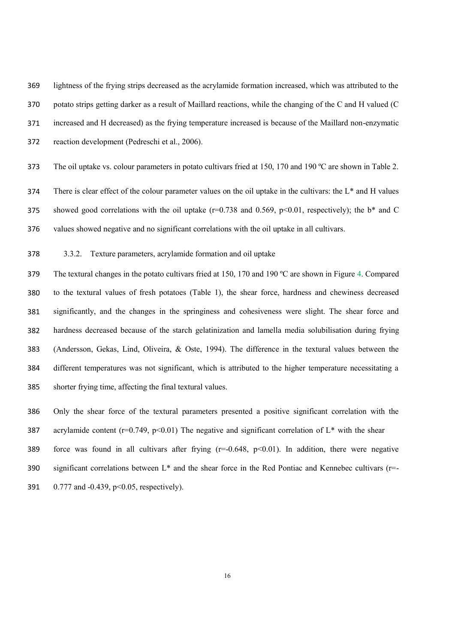lightness of the frying strips decreased as the acrylamide formation increased, which was attributed to the potato strips getting darker as a result of Maillard reactions, while the changing of the C and H valued (C increased and H decreased) as the frying temperature increased is because of the Maillard non-enzymatic reaction development (Pedreschi et al., 2006).

373 The oil uptake vs. colour parameters in potato cultivars fried at 150, 170 and 190 °C are shown in Table 2.

 There is clear effect of the colour parameter values on the oil uptake in the cultivars: the L\* and H values 375 showed good correlations with the oil uptake  $(r=0.738$  and 0.569, p<0.01, respectively); the b\* and C values showed negative and no significant correlations with the oil uptake in all cultivars.

3.3.2. Texture parameters, acrylamide formation and oil uptake

 The textural changes in the potato cultivars fried at 150, 170 and 190 ºC are shown in Figure 4. Compared to the textural values of fresh potatoes (Table 1), the shear force, hardness and chewiness decreased significantly, and the changes in the springiness and cohesiveness were slight. The shear force and hardness decreased because of the starch gelatinization and lamella media solubilisation during frying (Andersson, Gekas, Lind, Oliveira, & Oste, 1994). The difference in the textural values between the different temperatures was not significant, which is attributed to the higher temperature necessitating a shorter frying time, affecting the final textural values.

 Only the shear force of the textural parameters presented a positive significant correlation with the 387 acrylamide content ( $r=0.749$ ,  $p<0.01$ ) The negative and significant correlation of  $L^*$  with the shear 389 force was found in all cultivars after frying  $(r=0.648, p<0.01)$ . In addition, there were negative significant correlations between L\* and the shear force in the Red Pontiac and Kennebec cultivars (r=- 0.777 and -0.439, p<0.05, respectively).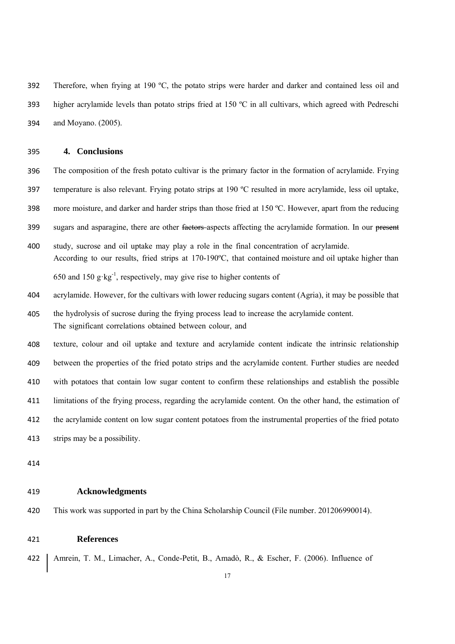Therefore, when frying at 190 ºC, the potato strips were harder and darker and contained less oil and higher acrylamide levels than potato strips fried at 150 ºC in all cultivars, which agreed with Pedreschi and Moyano. (2005).

## **4. Conclusions**

 The composition of the fresh potato cultivar is the primary factor in the formation of acrylamide. Frying temperature is also relevant. Frying potato strips at 190 ºC resulted in more acrylamide, less oil uptake, more moisture, and darker and harder strips than those fried at 150 ºC. However, apart from the reducing 399 sugars and asparagine, there are other <del>factors</del> aspects affecting the acrylamide formation. In our present study, sucrose and oil uptake may play a role in the final concentration of acrylamide. According to our results, fried strips at 170-190ºC, that contained moisture and oil uptake higher than

650 and 150 g·kg<sup>-1</sup>, respectively, may give rise to higher contents of

acrylamide. However, for the cultivars with lower reducing sugars content (Agria), it may be possible that

- the hydrolysis of sucrose during the frying process lead to increase the acrylamide content. The significant correlations obtained between colour, and
- texture, colour and oil uptake and texture and acrylamide content indicate the intrinsic relationship between the properties of the fried potato strips and the acrylamide content. Further studies are needed with potatoes that contain low sugar content to confirm these relationships and establish the possible limitations of the frying process, regarding the acrylamide content. On the other hand, the estimation of the acrylamide content on low sugar content potatoes from the instrumental properties of the fried potato strips may be a possibility.
- 

# **Acknowledgments**

This work was supported in part by the China Scholarship Council (File number. 201206990014).

# **References**

422 | Amrein, T. M., Limacher, A., Conde-Petit, B., Amadò, R., & Escher, F. (2006). Influence of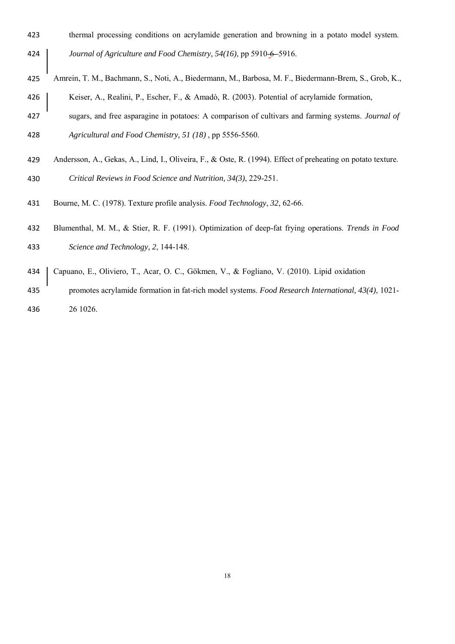- thermal processing conditions on acrylamide generation and browning in a potato model system. *Journal of Agriculture and Food Chemistry, 54(16), pp 5910-6-5916.*
- Amrein, T. M., Bachmann, S., Noti, A., Biedermann, M., Barbosa, M. F., Biedermann-Brem, S., Grob, K., 426 | Keiser, A., Realini, P., Escher, F., & Amadò, R. (2003). Potential of acrylamide formation,
- sugars, and free asparagine in potatoes: A comparison of cultivars and farming systems. *Journal of Agricultural and Food Chemistry, 51 (18)* , pp 5556-5560.
- Andersson, A., Gekas, A., Lind, I., Oliveira, F., & Oste, R. (1994). Effect of preheating on potato texture.

*Critical Reviews in Food Science and Nutrition, 34(3)*, 229-251.

- Bourne, M. C. (1978). Texture profile analysis. *Food Technology*, *32*, 62-66.
- Blumenthal, M. M., & Stier, R. F. (1991). Optimization of deep-fat frying operations. *Trends in Food Science and Technology, 2*, 144-148.
- Capuano, E., Oliviero, T., Acar, O. C., Gökmen, V., & Fogliano, V. (2010). Lipid oxidation
- promotes acrylamide formation in fat-rich model systems. *Food Research International, 43(4)*, 1021- 26 1026.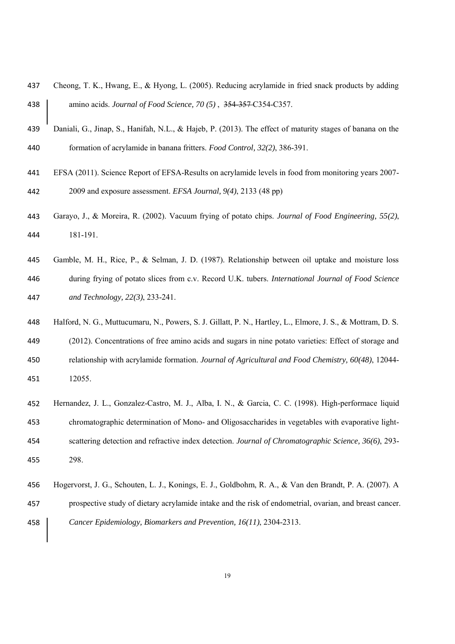- Cheong, T. K., Hwang, E., & Hyong, L. (2005). Reducing acrylamide in fried snack products by adding amino acids. *Journal of Food Science, 70 (5)* , 354-357 C354-C357.
- Daniali, G., Jinap, S., Hanifah, N.L., & Hajeb, P. (2013). The effect of maturity stages of banana on the formation of acrylamide in banana fritters. *Food Control, 32(2)*, 386-391.
- EFSA (2011). Science Report of EFSA-Results on acrylamide levels in food from monitoring years 2007- 2009 and exposure assessment. *EFSA Journal, 9(4)*, 2133 (48 pp)
- Garayo, J., & Moreira, R. (2002). Vacuum frying of potato chips. *Journal of Food Engineering, 55(2)*, 181-191.
- Gamble, M. H., Rice, P., & Selman, J. D. (1987). Relationship between oil uptake and moisture loss during frying of potato slices from c.v. Record U.K. tubers. *International Journal of Food Science and Technology, 22(3)*, 233-241.
- Halford, N. G., Muttucumaru, N., Powers, S. J. Gillatt, P. N., Hartley, L., Elmore, J. S., & Mottram, D. S.
- (2012). Concentrations of free amino acids and sugars in nine potato varieties: Effect of storage and relationship with acrylamide formation. *Journal of Agricultural and Food Chemistry, 60(48)*, 12044- 12055.
- Hernandez, J. L., Gonzalez-Castro, M. J., Alba, I. N., & Garcia, C. C. (1998). High-performace liquid chromatographic determination of Mono- and Oligosaccharides in vegetables with evaporative light- scattering detection and refractive index detection. *Journal of Chromatographic Science, 36(6)*, 293- 298.
- Hogervorst, J. G., Schouten, L. J., Konings, E. J., Goldbohm, R. A., & Van den Brandt, P. A. (2007). A prospective study of dietary acrylamide intake and the risk of endometrial, ovarian, and breast cancer. *Cancer Epidemiology, Biomarkers and Prevention, 16(11)*, 2304-2313.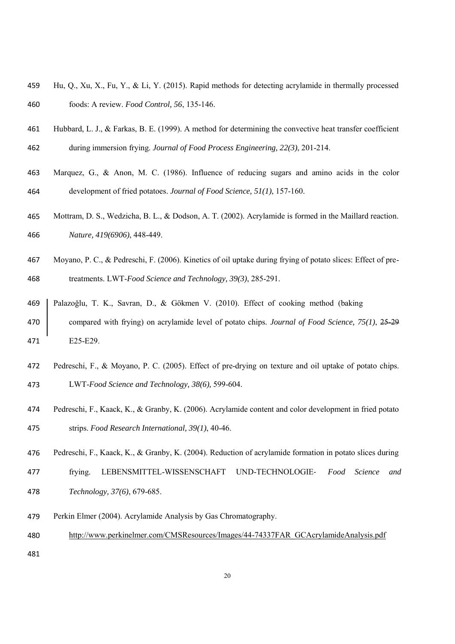- Hu, Q., Xu, X., Fu, Y., & Li, Y. (2015). Rapid methods for detecting acrylamide in thermally processed foods: A review. *Food Control, 56*, 135-146.
- Hubbard, L. J., & Farkas, B. E. (1999). A method for determining the convective heat transfer coefficient during immersion frying. *Journal of Food Process Engineering, 22(3)*, 201-214.
- Marquez, G., & Anon, M. C. (1986). Influence of reducing sugars and amino acids in the color development of fried potatoes. *Journal of Food Science, 51(1)*, 157-160.
- Mottram, D. S., Wedzicha, B. L., & Dodson, A. T. (2002). Acrylamide is formed in the Maillard reaction. *Nature, 419(6906)*, 448-449.
- Moyano, P. C., & Pedreschi, F. (2006). Kinetics of oil uptake during frying of potato slices: Effect of pre-treatments. LWT-*Food Science and Technology, 39(3)*, 285-291.
- Palazoğlu, T. K., Savran, D., & Gökmen V. (2010). Effect of cooking method (baking compared with frying) on acrylamide level of potato chips. *Journal of Food Science, 75(1)*, 25-29 E25-E29.
- Pedreschi, F., & Moyano, P. C. (2005). Effect of pre-drying on texture and oil uptake of potato chips. LWT-*Food Science and Technology, 38(6),* 599-604.
- Pedreschi, F., Kaack, K., & Granby, K. (2006). Acrylamide content and color development in fried potato strips. *Food Research International, 39(1)*, 40-46.
- Pedreschi, F., Kaack, K., & Granby, K. (2004). Reduction of acrylamide formation in potato slices during
- frying. LEBENSMITTEL-WISSENSCHAFT UND-TECHNOLOGIE‐ *Food Science and Technology, 37(6)*, 679-685.
- Perkin Elmer (2004). Acrylamide Analysis by Gas Chromatography.
- http://www.perkinelmer.com/CMSResources/Images/44-74337FAR\_GCAcrylamideAnalysis.pdf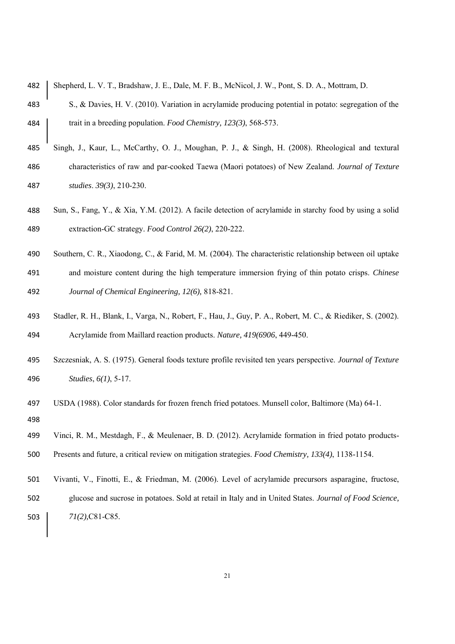| 482 | Shepherd, L. V. T., Bradshaw, J. E., Dale, M. F. B., McNicol, J. W., Pont, S. D. A., Mottram, D.      |
|-----|-------------------------------------------------------------------------------------------------------|
| 483 | S., & Davies, H. V. (2010). Variation in acrylamide producing potential in potato: segregation of the |
| 484 | trait in a breeding population. Food Chemistry, 123(3), 568-573.                                      |
| 485 | Singh, J., Kaur, L., McCarthy, O. J., Moughan, P. J., & Singh, H. (2008). Rheological and textural    |
| 486 | characteristics of raw and par-cooked Taewa (Maori potatoes) of New Zealand. Journal of Texture       |
| 487 | studies. 39(3), 210-230.                                                                              |

- Sun, S., Fang, Y., & Xia, Y.M. (2012). A facile detection of acrylamide in starchy food by using a solid extraction-GC strategy. *Food Control 26(2)*, 220-222.
- Southern, C. R., Xiaodong, C., & Farid, M. M. (2004). The characteristic relationship between oil uptake and moisture content during the high temperature immersion frying of thin potato crisps. *Chinese Journal of Chemical Engineering, 12(6),* 818-821.
- Stadler, R. H., Blank, I., Varga, N., Robert, F., Hau, J., Guy, P. A., Robert, M. C., & Riediker, S. (2002). Acrylamide from Maillard reaction products. *Nature, 419(6906*, 449-450.
- Szczesniak, A. S. (1975). General foods texture profile revisited ten years perspective. *Journal of Texture Studies*, *6(1)*, 5-17.
- USDA (1988). Color standards for frozen french fried potatoes. Munsell color, Baltimore (Ma) 64-1.
- Vinci, R. M., Mestdagh, F., & Meulenaer, B. D. (2012). Acrylamide formation in fried potato products-Presents and future, a critical review on mitigation strategies. *Food Chemistry, 133(4)*, 1138-1154.
- Vivanti, V., Finotti, E., & Friedman, M. (2006). Level of acrylamide precursors asparagine, fructose, glucose and sucrose in potatoes. Sold at retail in Italy and in United States. *Journal of Food Science, 71(2),*C81-C85.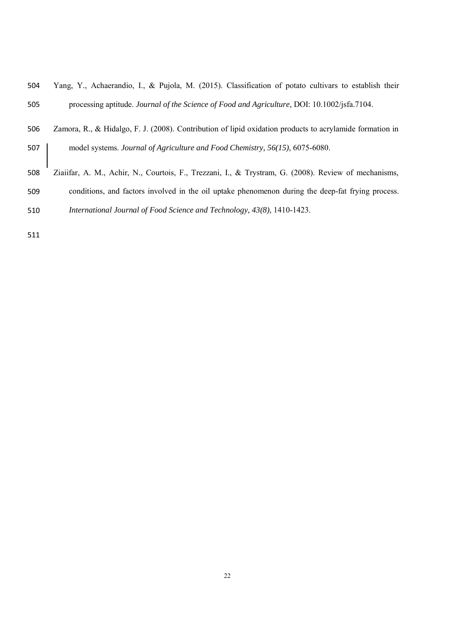| 504 | Yang, Y., Achaerandio, I., & Pujola, M. (2015). Classification of potato cultivars to establish their |
|-----|-------------------------------------------------------------------------------------------------------|
| 505 | processing aptitude. Journal of the Science of Food and Agriculture, DOI: 10.1002/jsfa.7104.          |

- Zamora, R., & Hidalgo, F. J. (2008). Contribution of lipid oxidation products to acrylamide formation in model systems. *Journal of Agriculture and Food Chemistry, 56(15)*, 6075-6080.
- Ziaiifar, A. M., Achir, N., Courtois, F., Trezzani, I., & Trystram, G. (2008). Review of mechanisms, conditions, and factors involved in the oil uptake phenomenon during the deep-fat frying process.
- *International Journal of Food Science and Technology, 43(8)*, 1410-1423.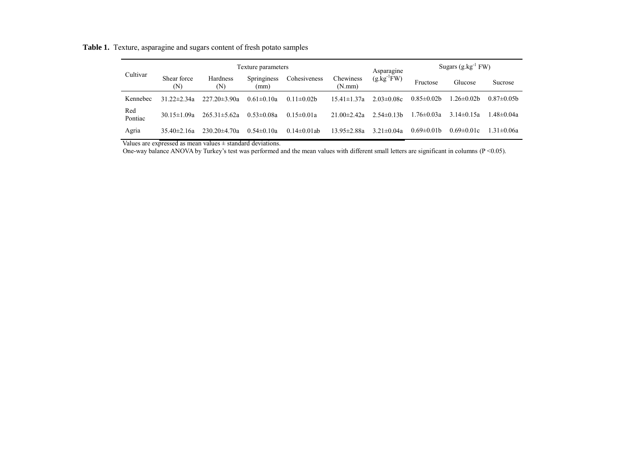**Table 1.** Texture, asparagine and sugars content of fresh potato samples

|                | Texture parameters |                    |                     |                  | Asparagine          | Sugars $(g.kg^{-1}FW)$ |                   |                  |                   |
|----------------|--------------------|--------------------|---------------------|------------------|---------------------|------------------------|-------------------|------------------|-------------------|
| Cultivar       | Shear force<br>(N) | Hardness<br>(N)    | Springiness<br>(mm) | Cohesiveness     | Chewiness<br>(N.mm) | $(g.kg^{-1}FW)$        | Fructose          | Glucose          | Sucrose           |
| Kennebec       | 31 $22\pm 2$ 34a   | $227.20 \pm 3.90a$ | $0.61 \pm 0.10a$    | $0.11 \pm 0.02$  | $15.41 \pm 1.37a$   | $2.03 \pm 0.08c$       | $0.85\pm0.02b$    | 1.26±0.02b       | $0.87 \pm 0.05$ b |
| Red<br>Pontiac | 30.15 $\pm$ 1.09a  | $265.31 \pm 5.62a$ | $0.53 \pm 0.08a$    | $0.15 \pm 0.01a$ | $21.00 \pm 2.42a$   | $2.54\pm0.13h$         | 1.76±0.03a        | 3 14 $\pm$ 0 15a | $1.48 \pm 0.04a$  |
| Agria          | $35.40 \pm 2.16a$  | $230.20 \pm 4.70a$ | $0.54 \pm 0.10a$    | $0.14\pm0.01$ ab | $13.95 \pm 2.88a$   | $3.21 \pm 0.04a$       | $0.69 \pm 0.01$ b | $0.69 \pm 0.01c$ | $1.31 \pm 0.06a$  |

Values are expressed as mean values  $\pm$  standard deviations.

One-way balance ANOVA by Turkey's test was performed and the mean values with different small letters are significant in columns (P <0.05).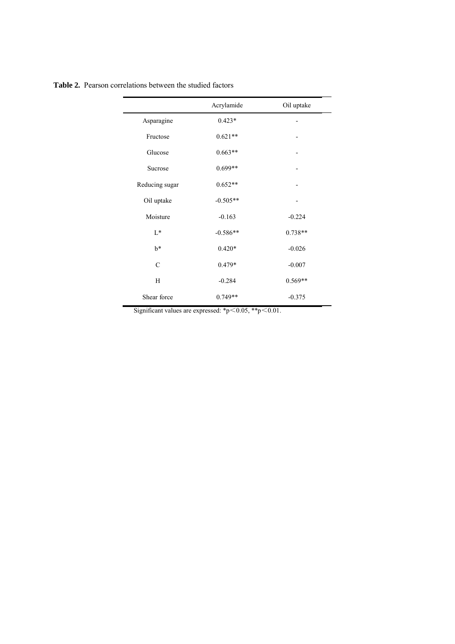|                | Acrylamide | Oil uptake |
|----------------|------------|------------|
| Asparagine     | $0.423*$   |            |
| Fructose       | $0.621**$  |            |
| Glucose        | $0.663**$  |            |
| Sucrose        | $0.699**$  |            |
| Reducing sugar | $0.652**$  |            |
| Oil uptake     | $-0.505**$ |            |
| Moisture       | $-0.163$   | $-0.224$   |
| $L^*$          | $-0.586**$ | $0.738**$  |
| $b^*$          | $0.420*$   | $-0.026$   |
| $\mathcal{C}$  | 0.479*     | $-0.007$   |
| H              | $-0.284$   | $0.569**$  |
| Shear force    | $0.749**$  | $-0.375$   |
|                |            |            |

**Table 2.** Pearson correlations between the studied factors

Significant values are expressed: \*p $\leq$ 0.05, \*\*p $\leq$ 0.01.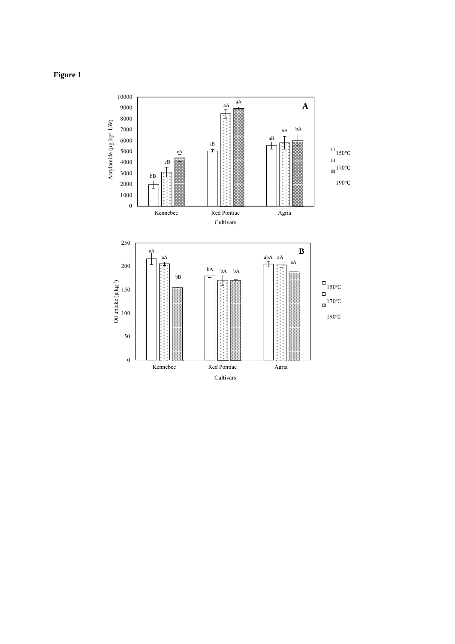

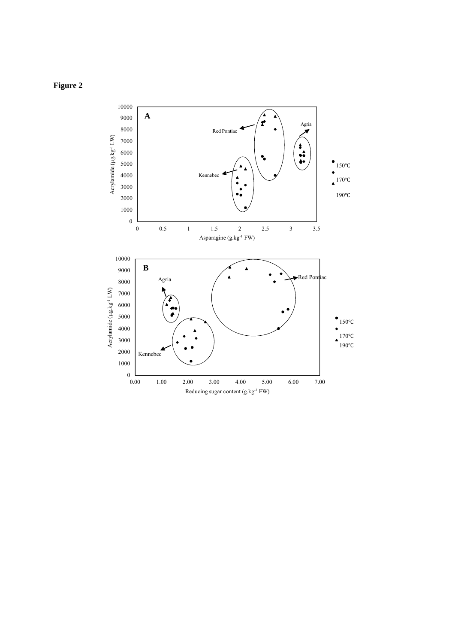# **Figure 2**

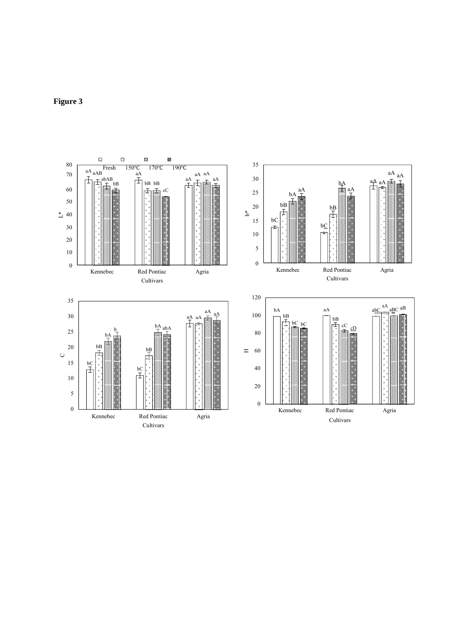

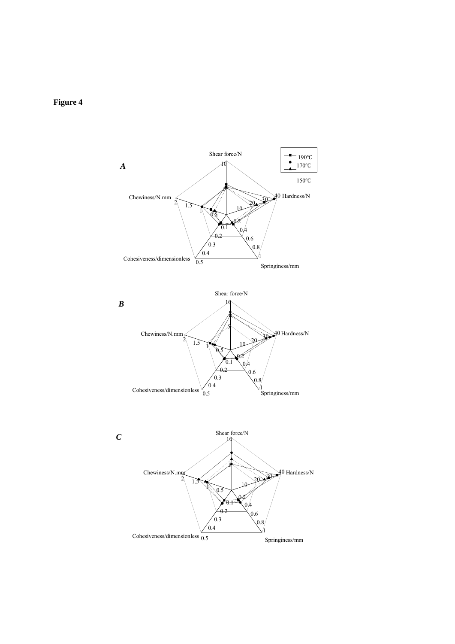